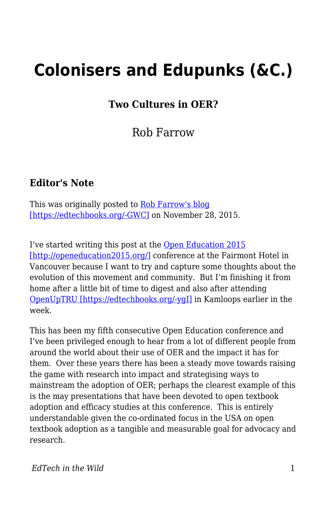## **Colonisers and Edupunks (&C.)**

**Two Cultures in OER?**

Rob Farrow

## **Editor's Note**

This was originally posted to **Rob Farrow's blog** [\[https://edtechbooks.org/-GWC\]](https://philosopher1978.wordpress.com/2015/11/28/colonisers-and-edupunks-c-two-cultures-in-oer/) on November 28, 2015.

I've started writing this post at the [Open Education 2015](http://openeducation2015.org/) [\[http://openeducation2015.org/\]](http://openeducation2015.org/) conference at the Fairmont Hotel in Vancouver because I want to try and capture some thoughts about the evolution of this movement and community. But I'm finishing it from home after a little bit of time to digest and also after attending [OpenUpTRU \[https://edtechbooks.org/-ygI\]](https://twitter.com/hashtag/openuptru) in Kamloops earlier in the week.

This has been my fifth consecutive Open Education conference and I've been privileged enough to hear from a lot of different people from around the world about their use of OER and the impact it has for them. Over these years there has been a steady move towards raising the game with research into impact and strategising ways to mainstream the adoption of OER; perhaps the clearest example of this is the may presentations that have been devoted to open textbook adoption and efficacy studies at this conference. This is entirely understandable given the co-ordinated focus in the USA on open textbook adoption as a tangible and measurable goal for advocacy and research.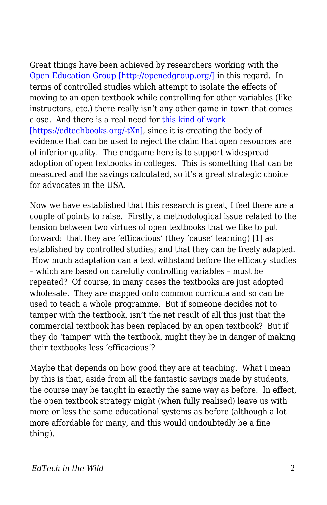Great things have been achieved by researchers working with the [Open Education Group \[http://openedgroup.org/\]](http://openedgroup.org/) in this regard. In terms of controlled studies which attempt to isolate the effects of moving to an open textbook while controlling for other variables (like instructors, etc.) there really isn't any other game in town that comes close. And there is a real need for [this kind of work](http://www.library.umass.edu/assets/Open-Education-Resources/OER-Articles/A-multi-institutional-study-of-the-impact-of-open-textbook-adoption-on-the-lear.pdf) [\[https://edtechbooks.org/-tXn\]](http://www.library.umass.edu/assets/Open-Education-Resources/OER-Articles/A-multi-institutional-study-of-the-impact-of-open-textbook-adoption-on-the-lear.pdf), since it is creating the body of evidence that can be used to reject the claim that open resources are of inferior quality. The endgame here is to support widespread adoption of open textbooks in colleges. This is something that can be measured and the savings calculated, so it's a great strategic choice for advocates in the USA.

Now we have established that this research is great, I feel there are a couple of points to raise. Firstly, a methodological issue related to the tension between two virtues of open textbooks that we like to put forward: that they are 'efficacious' (they 'cause' learning) [1] as established by controlled studies; and that they can be freely adapted. How much adaptation can a text withstand before the efficacy studies – which are based on carefully controlling variables – must be repeated? Of course, in many cases the textbooks are just adopted wholesale. They are mapped onto common curricula and so can be used to teach a whole programme. But if someone decides not to tamper with the textbook, isn't the net result of all this just that the commercial textbook has been replaced by an open textbook? But if they do 'tamper' with the textbook, might they be in danger of making their textbooks less 'efficacious'?

Maybe that depends on how good they are at teaching. What I mean by this is that, aside from all the fantastic savings made by students, the course may be taught in exactly the same way as before. In effect, the open textbook strategy might (when fully realised) leave us with more or less the same educational systems as before (although a lot more affordable for many, and this would undoubtedly be a fine thing).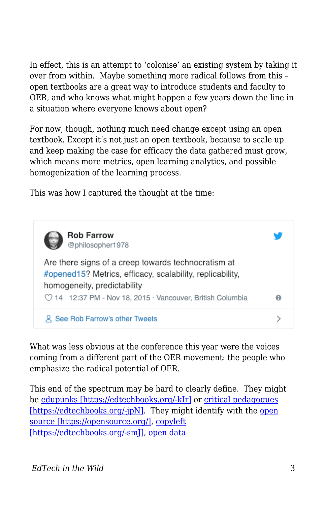In effect, this is an attempt to 'colonise' an existing system by taking it over from within. Maybe something more radical follows from this – open textbooks are a great way to introduce students and faculty to OER, and who knows what might happen a few years down the line in a situation where everyone knows about open?

For now, though, nothing much need change except using an open textbook. Except it's not just an open textbook, because to scale up and keep making the case for efficacy the data gathered must grow, which means more metrics, open learning analytics, and possible homogenization of the learning process.

This was how I captured the thought at the time:



What was less obvious at the conference this year were the voices coming from a different part of the OER movement: the people who emphasize the radical potential of OER.

This end of the spectrum may be hard to clearly define. They might be [edupunks \[https://edtechbooks.org/-kIr\]](https://en.wikipedia.org/wiki/Edupunk) or [critical pedagogues](https://en.wikiversity.org/wiki/Introduction_to_Critical_Pedagogy) [\[https://edtechbooks.org/-jpN\].](https://en.wikiversity.org/wiki/Introduction_to_Critical_Pedagogy) They might identify with the [open](https://opensource.org/) [source \[https://opensource.org/\]](https://opensource.org/), [copyleft](http://www.gnu.org/licenses/copyleft.en.html) [\[https://edtechbooks.org/-smJ\]](http://www.gnu.org/licenses/copyleft.en.html), [open data](http://opendatahandbook.org/guide/en/what-is-open-data/)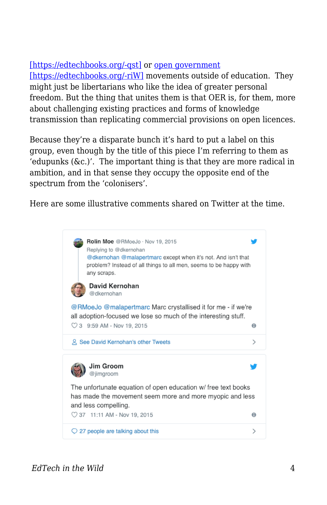## [\[https://edtechbooks.org/-qst\]](http://opendatahandbook.org/guide/en/what-is-open-data/) or [open government](https://en.wikipedia.org/wiki/Open_government)

[\[https://edtechbooks.org/-riW\]](https://en.wikipedia.org/wiki/Open_government) movements outside of education. They might just be libertarians who like the idea of greater personal freedom. But the thing that unites them is that OER is, for them, more about challenging existing practices and forms of knowledge transmission than replicating commercial provisions on open licences.

Because they're a disparate bunch it's hard to put a label on this group, even though by the title of this piece I'm referring to them as 'edupunks  $(\&c.)'$ . The important thing is that they are more radical in ambition, and in that sense they occupy the opposite end of the spectrum from the 'colonisers'.

Here are some illustrative comments shared on Twitter at the time.

Rolin Moe @RMoeJo · Nov 19, 2015 Replying to @dkernohan @dkernohan @malapertmarc except when it's not. And isn't that problem? Instead of all things to all men, seems to be happy with any scraps. David Kernohan @dkernohan @RMoeJo @malapertmarc Marc crystallised it for me - if we're all adoption-focused we lose so much of the interesting stuff. ◯ 3 9:59 AM - Nov 19, 2015  $\Theta$ 2 See David Kernohan's other Tweets  $\mathcal{P}$ Jim Groom @iimaroom The unfortunate equation of open education w/ free text books has made the movement seem more and more myopic and less and less compelling. ◯ 37 11:11 AM - Nov 19, 2015 0  $Q$  27 people are talking about this  $\mathcal{E}$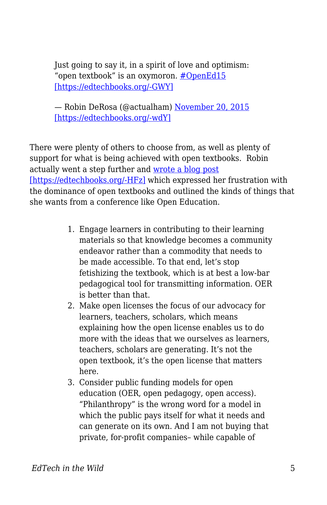Just going to say it, in a spirit of love and optimism: "open textbook" is an oxymoron. [#OpenEd15](https://twitter.com/hashtag/OpenEd15?src=hash) [\[https://edtechbooks.org/-GWY\]](https://twitter.com/hashtag/OpenEd15?src=hash)

— Robin DeRosa (@actualham) [November 20, 2015](https://twitter.com/actualham/status/667755175935782912) [\[https://edtechbooks.org/-wdY\]](https://twitter.com/actualham/status/667755175935782912)

There were plenty of others to choose from, as well as plenty of support for what is being achieved with open textbooks. Robin actually went a step further and [wrote a blog post](http://robinderosa.net/uncategorized/open-textbooks-ugh/) [\[https://edtechbooks.org/-HFz\]](http://robinderosa.net/uncategorized/open-textbooks-ugh/) which expressed her frustration with the dominance of open textbooks and outlined the kinds of things that she wants from a conference like Open Education.

- 1. Engage learners in contributing to their learning materials so that knowledge becomes a community endeavor rather than a commodity that needs to be made accessible. To that end, let's stop fetishizing the textbook, which is at best a low-bar pedagogical tool for transmitting information. OER is better than that.
- 2. Make open licenses the focus of our advocacy for learners, teachers, scholars, which means explaining how the open license enables us to do more with the ideas that we ourselves as learners, teachers, scholars are generating. It's not the open textbook, it's the open license that matters here.
- 3. Consider public funding models for open education (OER, open pedagogy, open access). "Philanthropy" is the wrong word for a model in which the public pays itself for what it needs and can generate on its own. And I am not buying that private, for-profit companies– while capable of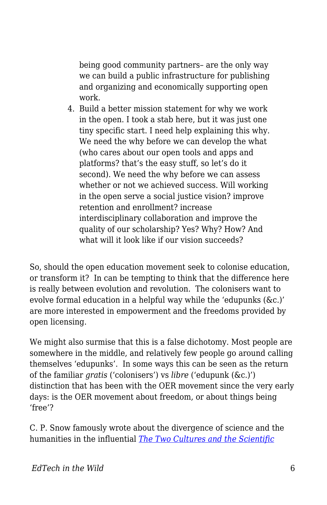being good community partners– are the only way we can build a public infrastructure for publishing and organizing and economically supporting open work.

4. Build a better mission statement for why we work in the open. I took a stab here, but it was just one tiny specific start. I need help explaining this why. We need the why before we can develop the what (who cares about our open tools and apps and platforms? that's the easy stuff, so let's do it second). We need the why before we can assess whether or not we achieved success. Will working in the open serve a social justice vision? improve retention and enrollment? increase interdisciplinary collaboration and improve the quality of our scholarship? Yes? Why? How? And what will it look like if our vision succeeds?

So, should the open education movement seek to colonise education, or transform it? In can be tempting to think that the difference here is really between evolution and revolution. The colonisers want to evolve formal education in a helpful way while the 'edupunks (&c.)' are more interested in empowerment and the freedoms provided by open licensing.

We might also surmise that this is a false dichotomy. Most people are somewhere in the middle, and relatively few people go around calling themselves 'edupunks'. In some ways this can be seen as the return of the familiar *gratis* ('colonisers') vs *libre* ('edupunk (&c.)') distinction that has been with the OER movement since the very early days: is the OER movement about freedom, or about things being 'free'?

C. P. Snow famously wrote about the divergence of science and the humanities in the influential *[The Two Cultures and the Scientific](http://sciencepolicy.colorado.edu/students/envs_5110/snow_1959.pdf)*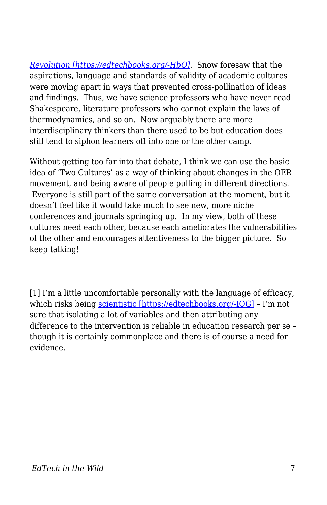*[Revolution \[https://edtechbooks.org/-HbQ\]](http://sciencepolicy.colorado.edu/students/envs_5110/snow_1959.pdf).* Snow foresaw that the aspirations, language and standards of validity of academic cultures were moving apart in ways that prevented cross-pollination of ideas and findings. Thus, we have science professors who have never read Shakespeare, literature professors who cannot explain the laws of thermodynamics, and so on. Now arguably there are more interdisciplinary thinkers than there used to be but education does still tend to siphon learners off into one or the other camp.

Without getting too far into that debate, I think we can use the basic idea of 'Two Cultures' as a way of thinking about changes in the OER movement, and being aware of people pulling in different directions. Everyone is still part of the same conversation at the moment, but it doesn't feel like it would take much to see new, more niche conferences and journals springing up. In my view, both of these cultures need each other, because each ameliorates the vulnerabilities of the other and encourages attentiveness to the bigger picture. So keep talking!

[1] I'm a little uncomfortable personally with the language of efficacy, which risks being [scientistic \[https://edtechbooks.org/-IQG\]](https://en.wikipedia.org/wiki/Scientism) – I'm not sure that isolating a lot of variables and then attributing any difference to the intervention is reliable in education research per se – though it is certainly commonplace and there is of course a need for evidence.